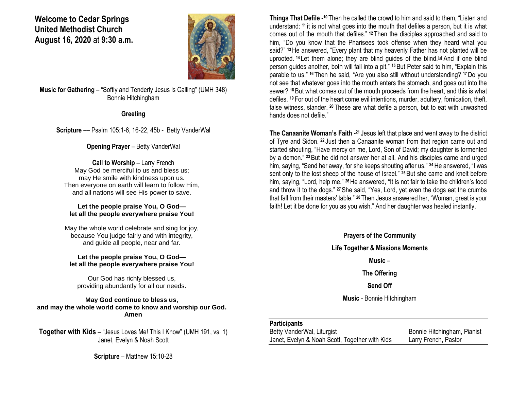**Welcome to Cedar Springs United Methodist Church August 16, 2020** at **9:30 a.m.** 



**Music for Gathering** – "Softly and Tenderly Jesus is Calling" (UMH 348) Bonnie Hitchingham

**Greeting**

**Scripture** — Psalm 105:1-6, 16-22, 45b - Betty VanderWal

### **Opening Prayer** – Betty VanderWal

**Call to Worship – Larry French** May God be merciful to us and bless us; may He smile with kindness upon us. Then everyone on earth will learn to follow Him, and all nations will see His power to save.

#### **Let the people praise You, O God let all the people everywhere praise You!**

May the whole world celebrate and sing for joy, because You judge fairly and with integrity, and guide all people, near and far.

#### **Let the people praise You, O God let all the people everywhere praise You!**

Our God has richly blessed us, providing abundantly for all our needs.

**May God continue to bless us, and may the whole world come to know and worship our God. Amen**

**Together with Kids** – "Jesus Loves Me! This I Know" (UMH 191, vs. 1) Janet, Evelyn & Noah Scott

**Scripture** – Matthew 15:10-28

**Things That Defile - <sup>10</sup>** Then he called the crowd to him and said to them, "Listen and understand: **<sup>11</sup>** it is not what goes into the mouth that defiles a person, but it is what comes out of the mouth that defiles." **<sup>12</sup>** Then the disciples approached and said to him, "Do you know that the Pharisees took offense when they heard what you said?" **<sup>13</sup>**He answered, "Every plant that my heavenly Father has not planted will be uprooted. <sup>14</sup> Let them alone; they are blind quides of the blind.<sup>[\[a\]](https://www.biblegateway.com/passage/?search=Matthew+15%3A10-28&version=NRSV#fen-NRSV-23648a)</sup> And if one blind person guides another, both will fall into a pit." **<sup>15</sup>**But Peter said to him, "Explain this parable to us." **<sup>16</sup>** Then he said, "Are you also still without understanding? **<sup>17</sup>**Do you not see that whatever goes into the mouth enters the stomach, and goes out into the sewer? **<sup>18</sup>**But what comes out of the mouth proceeds from the heart, and this is what defiles. **<sup>19</sup>** For out of the heart come evil intentions, murder, adultery, fornication, theft, false witness, slander. **<sup>20</sup>** These are what defile a person, but to eat with unwashed hands does not defile."

**The Canaanite Woman's Faith -<sup>21</sup> Jesus left that place and went away to the district** of Tyre and Sidon. **<sup>22</sup>** Just then a Canaanite woman from that region came out and started shouting, "Have mercy on me, Lord, Son of David; my daughter is tormented by a demon." **<sup>23</sup>**But he did not answer her at all. And his disciples came and urged him, saying, "Send her away, for she keeps shouting after us." **<sup>24</sup>**He answered, "I was sent only to the lost sheep of the house of Israel." **<sup>25</sup>**But she came and knelt before him, saying, "Lord, help me." **<sup>26</sup>**He answered, "It is not fair to take the children's food and throw it to the dogs." **<sup>27</sup>**She said, "Yes, Lord, yet even the dogs eat the crumbs that fall from their masters' table." **<sup>28</sup>** Then Jesus answered her, "Woman, great is your faith! Let it be done for you as you wish." And her daughter was healed instantly.

**Prayers of the Community**

**Life Together & Missions Moments**

**Music** –

**The Offering**

**Send Off**

**Music** - Bonnie Hitchingham

### **Participants**

Betty VanderWal, Liturgist Bonnie Hitchingham, Pianist Janet, Evelyn & Noah Scott, Together with Kids Larry French, Pastor